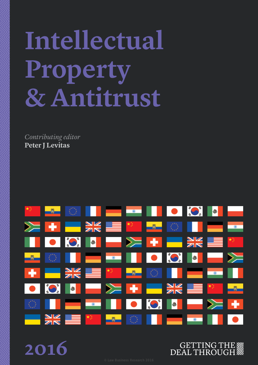## **Intellectual Property & Antitrust**

*Contributing editor* **Peter J Levitas**

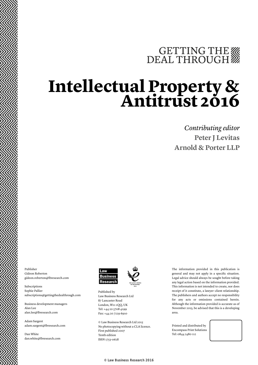## GETTING THE

# **Intellectual Property & Antitrust 2016**

*Contributing editor* **Peter J Levitas Arnold & Porter LLP**

Publisher Gideon Roberton gideon.roberton@lbresearch.com

Subscriptions Sophie Pallier subscriptions@gettingthedealthrough.com

Business development managers Alan Lee alan.lee@lbresearch.com

Adam Sargent adam.sargent@lbresearch.com

Dan White dan.white@lbresearch.com



Published by Law Business Research Ltd 87 Lancaster Road London, W11 1QQ, UK Tel: +44 20 3708 4199 Fax: +44 20 7229 6910

© Law Business Research Ltd 2015 No photocopying without a CLA licence. First published 2007 Tenth edition ISSN 1753-0628

The information provided in this publication is general and may not apply in a specific situation. Legal advice should always be sought before taking any legal action based on the information provided. This information is not intended to create, nor does receipt of it constitute, a lawyer–client relationship. The publishers and authors accept no responsibility for any acts or omissions contained herein. Although the information provided is accurate as of November 2015, be advised that this is a developing area.

Printed and distributed by Encompass Print Solutions Tel: 0844 2480 112



© Law Business Research 2016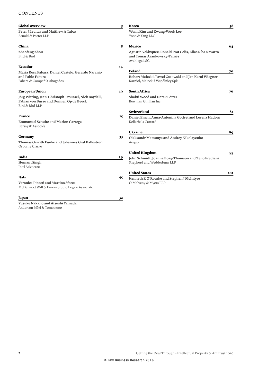### **CONTENTS**

Anderson Mōri & Tomotsune

| <b>Global overview</b>                                              | 5              | Korea                                                                                                   | 58  |
|---------------------------------------------------------------------|----------------|---------------------------------------------------------------------------------------------------------|-----|
| Peter J Levitas and Matthew A Tabas<br>Arnold & Porter LLP          |                | Wonil Kim and Kwang-Wook Lee<br>Yoon & Yang LLC                                                         |     |
| China                                                               | 8              | Mexico                                                                                                  | 64  |
| Zhaofeng Zhou<br>Bird & Bird                                        |                | Agustín Velázquez, Ronald Prat Celis, Elías Ríos Navarro<br>and Tomás Arankowsky-Tamés<br>Avahlegal, SC |     |
| Ecuador                                                             | 14             |                                                                                                         |     |
| Maria Rosa Fabara, Daniel Castelo, Gerardo Naranjo                  |                | Poland                                                                                                  | 70  |
| and Pablo Fabara<br>Fabara & Compañía Abogados                      |                | Robert Małecki, Paweł Gutowski and Jan Karol Wiegner<br>Karniol, Małecki i Wspólnicy Spk                |     |
| <b>European Union</b>                                               | 19             | <b>South Africa</b>                                                                                     | 76  |
| Jörg Witting, Jean-Christoph Troussel, Nick Boydell,                |                | Shakti Wood and Derek Lötter                                                                            |     |
| Fabian von Busse and Domien Op de Beeck<br>Bird & Bird LLP          |                | Bowman Gilfillan Inc                                                                                    |     |
|                                                                     |                | Switzerland                                                                                             | 82  |
| France                                                              | 25             | Daniel Emch, Anna-Antonina Gottret and Lorenz Hadorn<br>Kellerhals Carrard                              |     |
| <b>Emmanuel Schulte and Marion Carrega</b><br>Bersay & Associés     |                |                                                                                                         |     |
|                                                                     |                | <b>Ukraine</b>                                                                                          | 89  |
| Germany                                                             | 33             | Oleksandr Mamunya and Andrey Nikolayenko                                                                |     |
| Thomas Gerrith Funke and Johannes Graf Ballestrem<br>Osborne Clarke |                | Aequo                                                                                                   |     |
|                                                                     |                | <b>United Kingdom</b>                                                                                   | 95  |
| India                                                               | 39             | John Schmidt, Joanna Boag-Thomson and Zeno Frediani                                                     |     |
| <b>Hemant Singh</b><br>Inttl Advocare                               |                | Shepherd and Wedderburn LLP                                                                             |     |
|                                                                     |                | <b>United States</b>                                                                                    | 101 |
| Italy                                                               | 45             | Kenneth R O'Rourke and Stephen J McIntyre                                                               |     |
| Veronica Pinotti and Martino Sforza                                 |                | O'Melveny & Myers LLP                                                                                   |     |
| McDermott Will & Emery Studio Legale Associato                      |                |                                                                                                         |     |
| Japan                                                               | 5 <sup>2</sup> |                                                                                                         |     |
| Yusuke Nakano and Atsushi Yamada                                    |                |                                                                                                         |     |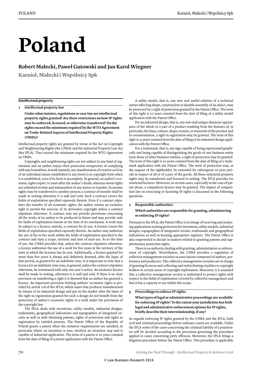## **Poland**

### **Robert Małecki, Paweł Gutowski and Jan Karol Wiegner**

**Karniol, Małecki i Wspólnicy Spk**

### **Intellectual property**

**1 Intellectual property law**

**Under what statutes, regulations or case law are intellectual property rights granted? Are there restrictions on how IP rights may be enforced, licensed, or otherwise transferred? Do the rights exceed the minimum required by the WTO Agreement on Trade-Related Aspects of Intellectual Property Rights (TRIPs)?**

Intellectual property rights are granted by virtue of the Act on Copyright and Neighbouring Rights (the CNRA) and the Industrial Property Law Act (the IPLA). They exceed the minimum required by the WTO Agreement on TRIPs.

Copyrights and neighbouring rights are not subject to any kind of registration and an author enjoys their protection irrespective of complying with any formalities. A work (namely, any manifestation of creative activity of an individual nature established in any form) is in copyright from when it is established, even if its form is incomplete. In general, an author's economic rights expire 70 years after the author's death, whereas moral rights are unlimited in time and independent of any waiver or transfer. Economic rights may be transferred to another person; a contract of transfer shall be made in writing otherwise it is null and void. Such a contract covers the fields of exploitation specified expressly therein. Even if a contract stipulates the transfer of all economic rights, the author retains an exclusive right to permit the exercise of its derivative copyright unless a contract stipulates otherwise. A contract may not provide provisions concerning all the works of an author to be produced in future and may provide only for fields of exploitation known at the time of its conclusion. A work may be subject to a licence, namely, a contract for its use. A licence covers the fields of exploitation specified expressly therein. An author may authorise the use of his or her work within the fields of exploitation specified in the contract and state a scope, territory and time of such use. As to the time of use, the CNRA provides that, unless the contract stipulates otherwise, a licence authorises the use of a work for five years in the territory of the state in which the licensee has its seat. Additionally, a licence granted for more than five years is always and definitely deemed, after the lapse of that period, as granted for an indefinite time. It is important to note that a licence for an indefinite time may, in general, unless the contract stipulates otherwise, be terminated with only one year's notice. An exclusive licence shall be made in writing, otherwise it is null and void. If there is no clear provision on transferring a right it is deemed that an author has granted a licence. An important provision limiting authors' economic rights is provided by article 116 of the IPLA, which states that products manufactured by means of an industrial design and put on the market after the lapse of the right in registration granted for such a design do not benefit from the protection of author's economic rights in a work under the provisions of the copyright law.

The IPLA deals with inventions, utility models, industrial designs, trademarks, geographical indications and topographies of integrated circuits as well as with obtaining patents, rights of protection and rights in registration by entitled persons. The Patent Office of the Republic of Poland grants a patent when the statutory requirements are satisfied, in particular where an invention is new, involves an inventive step and is capable of industrial application. The term of a patent is 20 years counted from the date of filing of a patent application with the Patent Office.

A utility model, that is, any new and useful solution of a technical nature affecting shape, construction or durable assembly of an object, may be protected by a right of protection granted by the Patent Office. The term of this right is 10 years counted from the date of filing of a utility model application with the Patent Office.

For an industrial design, that is, any new and unique character appearance of the whole or a part of a product resulting from the features of, in particular, the lines, colours, shape, texture, or materials of the product and its ornamentation, a right in registration may be granted. The term of this right is 25 years counted from the date of filing of an industrial design application with the Patent Office.

For a trademark, that is, any sign capable of being represented graphically and being capable of distinguishing the goods of one business entity from those of other business entities, a right of protection may be granted. The term of this right is 10 years counted from the date of filing of a trademark application with the Patent Office. The term of protection may, at the request of the rightholder, be extended for subsequent 10-year periods in respect of all or of a part of the goods. All these industrial property rights may be transferred and licensed in writing. The IPLA provides for restricted licences. Moreover, in certain cases, especially in the case of patent abuse, a compulsory licence may be granted. The impact of competition law on exercising or licensing IP rights is discussed in the following questions.

### **2 Responsible authorities**

### **Which authorities are responsible for granting, administering or enforcing IP rights?**

Pursuant to the IPLA, the Patent Office is in charge of receiving and analysing applications seeking protection for inventions, utility models, industrial designs, topographies of integrated circuits, trademarks and geographical indications as well as keeping appropriate registers. The Patent Office is also empowered to decide in matters related to granting patents and supplementary protection rights.

There is no authority dealing with granting, administration or enforcement of copyright. Nevertheless, the CNRA provides a regulation of collective management societies as associations composed of authors, performers and producers. The collective management societies are in charge of granting licences and collecting and redistributing royalties to copyright holders in certain areas of copyright exploitation. Moreover, it is assumed that a collective management society is authorised to protect rights with respect to the fields of exploitation covered by collective management and that it has a capacity to sue within this scope.

### **3 Proceedings to enforce IP rights**

**What types of legal or administrative proceedings are available for enforcing IP rights? To the extent your jurisdiction has both legal and administrative enforcement options for IP rights, briefly describe their interrelationship, if any?**

As regards enforcing IP rights granted by the CNRA and the IPLA, both civil and criminal proceedings before ordinary courts are available. Under the IPLA some of the cases concerning the criminal liability of a perpetrator will be decided according to the provisions governing the procedure applied in cases concerning petty offences. Moreover, the IPLA brings a litigation procedure before the Patent Office. This procedure is applicable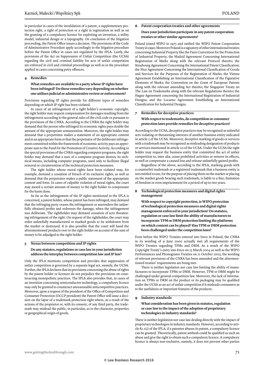in particular in cases of the invalidation of a patent, a supplementary protection right, a right of protection or a right in registration as well as on the granting of a compulsory licence for exploiting an invention, a utility model, industrial design or a topography. On conclusion of the litigation proceeding, the Patent Office issues a decision. The provisions of the Code of Administrative Procedure apply accordingly to the litigation procedure before the Patent Office in cases not regulated by the IPLA. Lastly, the provisions of the Act on Suppression of Unfair Competition (the UCSA) regarding the civil and criminal liability for acts of unfair competition are enforced in civil and criminal proceedings as well as in the procedure applied in cases concerning petty offences.

### **4 Remedies**

**What remedies are available to a party whose IP rights have been infringed? Do these remedies vary depending on whether one utilises judicial or administrative review or enforcement?**

Provisions regarding IP rights provide for different types of remedies depending on which IP right has been violated.

In cases of an infringement of a right holder's economic copyright, the right holder may request compensation for damages resulting from the infringement according to the general rules of the civil code or pursuant to the provisions of the CNRA. According to the CNRA the right holder may demand that the person who infringed its economic rights pays double the amount of the appropriate remuneration. Moreover, the right holder may demand that a perpetrator makes a statement of an appropriate content and in an appropriate form or that the perpetrator of the deliberate infringement committed within the framework of economic activity pays an appropriate sum to the Fund for the Promotion of Creative Activity. According to the special provisions of the CNRA regarding computer programs, the right holder may demand that a user of a computer program destroy its technical means, including computer programs, used only to facilitate illegal removal or circumvention of the technical protection measures.

The right holder whose moral rights have been violated may, for example, demand a cessation of breach of its exclusive rights, as well as demand that the perpetrator makes a public statement of the appropriate content and form. In cases of culpable violation of moral rights, the court may award a certain amount of money to the right holder to compensate for the harm done.

As far as the infringement of the IP rights mentioned in the IPLA is concerned, a patent holder, whose patent has been infringed, may demand that the infringing party ceases the infringement or surrenders the unlawfully obtained profits and redresses the damage, when the infringement was deliberate. The rightholder may demand cessation of acts threatening infringement of the right. On request of the rightholder, the court may order unlawfully manufactured or marked goods to be withdrawn from the market or destroyed. It is also possible that the court will hand the aforementioned products over to the right holder on account of the sum of money to be adjudged to the right holder.

### **5 Nexus between competition and IP rights**

### **Do any statutes, regulations or case law in your jurisdiction address the interplay between competition law and IP law?**

Only the IPLA mentions competition and provides that suppression of unfair competition is governed by a separate legal act, namely, the UCSA. Further, the IPLA declares that its provisions concerning the abuse of rights by the patent holder or licensee do not prejudice the provisions on counteracting monopolistic practices. The IPLA also provides that, in cases of an invention concerning semiconductor technology, a compulsory licence may only be granted to counteract unreasonable anticompetitive practices. Moreover, upon a request of the president of the Office of Competition and Consumer Protection (OCCP president) the Patent Office will issue a decision on the lapse of a trademark protection right where, as a result of the actions of the proprietor or, with its consent, of any third party, the trademark may mislead the public, in particular, as to the character, properties or geographical origin of goods.

### **6 Patent cooperation treaties and other agreements Does your jurisdiction participate in any patent cooperation treaties or other similar agreements?**

Poland joined WIPO in 1975 and ratified the WIPO Patent Cooperation Treaty in 1990. Moreover Poland is a signatory of other international treaties concerning Industrial Property like the Paris Convention for the Protection of Industrial Property; the Madrid Agreement Concerning International Registration of Marks along with the relevant Protocol thereto; the Strasbourg Agreement Concerning the International Patent Classification; the Nice Agreement Concerning the International Classification of Goods and Services for the Purposes of the Registration of Marks; the Vienna Agreement Establishing an International Classification of the Figurative Elements of Marks; the Convention on the Grant of European Patents along with the relevant amending Act thereto; the Singapore Treaty on The Law on Trademarks along with the relevant Regulations thereto; the Hague Agreement concerning the International Registration of Industrial Designs; and the Locarno Agreement Establishing an International Classification for Industrial Designs.

### **7 Remedies for deceptive practices**

### **With respect to trademarks, do competition or consumer protection laws provide remedies for deceptive practices?**

According to the UCSA, deceptive practices may be recognised as unlawful acts violating or threatening interests of another business entity indicated in article 3 of the UCSA. Moreover, deceptive marking of goods or services with a trademark may be recognised as misleading designation of products or services mentioned in article 10 of the UCSA. Under the UCSA the right holder may request the business entity that committed the act of unfair competition to, inter alia, cease prohibited activities or remove its effects, as well as compensate a caused loss and release unlawfully gained profits.

Regardless of the above, according to the IPLA, marking goods with a counterfeit trademark or a registered trademark that a business entity is not entitled to use, for the purpose of placing them on the market or placing on the market goods bearing such trademark, is liable to a fine, limitation of freedom or even imprisonment for a period of up to two years.

### **8 Technological protection measures and digital rights management**

**With respect to copyright protection, is WIPO protection of technological protection measures and digital rights management enforced in your jurisdiction? Do statutes, regulation or case law limit the ability of manufacturers to incorporate TPM or DRM protection limiting the platforms on which content can be played? Has TPM or DRM protection been challenged under the competition laws?**

Even before the WIPO Treaties entered into force in Poland, the CNRA in its wording of 9 June 2000 actually met all requirements of the WIPO Treaties regarding TPMs and DRM. As a result of the WIPO Copyright Treaty's entry into force on 23 March 2004 as well as the WIPO Performances and Phonograms Treaties on 21 October 2003, the wording of relevant provisions of the CNRA has been amended and the aforementioned treaties' requirements are being met.

There is neither legislation nor case law limiting the ability of manufacturers to incorporate TPMs or DRM. However, TPM or DRM might be challenged under general competition law. Moreover, the lack of information on TPMs or DRM on the product or its packaging may be qualified under the UCSA as an act of unfair competition if it misleads consumers as to the usefulness or important features of the products.

### **9 Industry standards**

### **What consideration has been given in statutes, regulation or case law to the impact of the adoption of proprietary technologies in industry standards?**

There is neither legislation nor case law dealing directly with the impact of proprietary technologies in industry standards. However, according to article 82.1(2) of the IPLA, if a patentee abuses its patent, a compulsory licence can be granted. Theoretically, patent ambush could be qualified as such an abuse and give the right to obtain such a compulsory licence. A compulsory licence is always non-exclusive, namely, it does not prevent other parties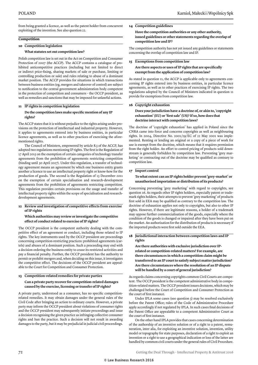from being granted a licence, as well as the patent holder from concurrent exploiting of the invention. See also question 22.

### **Competition**

### **10 Competition legislation**

### **What statutes set out competition law?**

Polish competition law is set out in the Act on Competition and Consumer Protection of 2007 (the ACCP). The ACCP contains a catalogue of prohibited anticompetitive practices (including but not limited to direct or indirect price-fixing, sharing markets of sale or purchase, limiting or controlling production or sale) and rules relating to abuse of a dominant market position. The ACCP provides for situations in which transactions between business entities (eg, mergers and takeover of control) are subject to notification to the central government administration body competent in the protection of competition and consumers – the OCCP president, as well as remedies and sanctions that may be imposed for unlawful actions.

### **11 IP rights in competition legislation Do the competition laws make specific mention of any IP rights?**

The ACCP states that it is without prejudice to the rights arising under provisions on the protection of intellectual and industrial property. However, it applies to agreements entered into by business entities, in particular licence agreements, as well as to other practices of exercising the aforementioned rights.

The Council of Ministers, empowered by article 8.3 of the ACCP, has adopted two regulations mentioning IP rights. The first is the Regulation of 17 April 2015 on the exemption of certain categories of technology transfer agreements from the prohibition of agreements restricting competition (binding until 30 April 2027). Under this regulation, a transfer of technology agreement means an agreement by which one business entity grants another a licence to use an intellectual property right or know-how for the production of goods. The second is the Regulation of 13 December 2011 on the exemption of certain specialisation and research-development agreements from the prohibition of agreements restricting competition. This regulation provides certain provisions on the usage and transfer of intellectual property rights within the scope of specialisation and researchdevelopment agreements.

### **12 Review and investigation of competitive effects from exercise of IP rights**

### **Which authorities may review or investigate the competitive effect of conduct related to exercise of IP rights?**

The OCCP president is the competent authority dealing with the competitive effect of an agreement or conduct, including those related to IP rights. The key instruments used by the OCCP president are proceedings concerning competition-restricting practices: prohibited agreements (cartels) and abuses of a dominant position. Such a proceeding may end with a decision ordering the business entity to cease its restricted activities and pay a financial penalty. Further, the OCCP president has the authority to permit or prohibit mergers and, when deciding on this issue, it investigates the competitive effect. The decisions of the OCCP president are appealable to the Court for Competition and Consumer Protection.

### **13 Competition-related remedies for private parties**

### **Can a private party recover for competition-related damages caused by the exercise, licensing or transfer of IP rights?**

A private party, understood as a consumer, has no specific competitionrelated remedies. It may obtain damages under the general rules of the Civil Code after bringing an action to ordinary courts. However, a private party may inform the OCCP president about violations of consumer rights and the OCCP president may subsequently initiate proceedings and issue a decision recognising the given practice as infringing collective consumer rights and ban the practice. Such a decision will not result in awarding damages to the party, but it may be prejudicial in judicial civil proceedings.

### **14 Competition guidelines**

**Have the competition authorities or any other authority, issued guidelines or other statements regarding the overlap of competition law and IP?**

The competition authority has not yet issued any guidelines or statements concerning the overlap of competition law and IP.

### **15 Exemptions from competition law**

### **Are there aspects or uses of IP rights that are specifically exempt from the application of competition law?**

As stated in question 11, the ACCP is applicable only to agreements concerning IP rights entered into by business entities, in particular licence agreements, as well as to other practices of exercising IP rights. The two regulations adopted by the Council of Ministers indicated in question 11 provide for exemptions from competition law.

### **16 Copyright exhaustion**

### **Does your jurisdiction have a doctrine of, or akin to, 'copyright exhaustion' (EU) or 'first sale' (US)? If so, how does that doctrine interact with competition laws?**

The doctrine of 'copyright exhaustion' has applied in Poland since the CNRA came into force and concerns copyrights as well as neighbouring rights. In 2004, Directive No. 2001/29/EC of 22 May 2001 was implemented. Renting or lending an original or a copy of a piece of work for use is exempt from the doctrine, which means that it requires permission from the right holder. An effort to control pricing of products sold downstream is generally forbidden by competition law. Preventing 'grey marketing' or contracting out of the doctrine may be qualified as contrary to competition law.

### **17 Import control**

### **To what extent can an IP rights holder prevent 'grey-market' or unauthorised importation or distribution of its products?**

Concerning preventing 'grey marketing' with regard to copyrights, see question 16. As regards other IP rights holders, especially patent or trademark rights holders, their attempts to prevent 'grey marketing' of products first sold in EEA may be qualified as contrary to the competition law. The doctrine of exhaustion applies not only to copyrights, but also to other IP rights. However, if there are legitimate reasons, a holder of a trademark may oppose further commercialisation of the goods, especially where the condition of the goods is changed or impaired after they have been put on the market. An authorisation for the distribution of products is necessary if the imported products were first sold outside the EEA.

### **18 Jurisdictional interaction between competition laws and IP rights**

**Are there authorities with exclusive jurisdiction over IPrelated or competition-related matters? For example, are there circumstances in which a competition claim might be transferred to an IP court to satisfy subject matter jurisdiction? Are there circumstances where the resolution of an IP dispute will be handled by a court of general jurisdiction?**

As regards claims concerning copyrights common Civil Courts are competent. The OCCP president is the competent administrative body in competition-related matters. The OCCP president issues decisions, which may be challenged before the Court of Competition and Consumer Protection as the court of first instance.

Under IPLA some cases (see question 3) may be resolved exclusively before the Patent Office; rules of the Code of Administrative Procedure apply accordingly if not regulated by IPLA. In such cases final decisions of the Patent Office are appealable to a competent Administrative Court as the court of first instance.

On the other hand IPLA provides that cases concerning determination of the authorship of an inventive solution or of a right to a patent, remuneration, inter alia, for exploiting an inventive solution, invention, utility model or topography for state purposes, declaration of a right to exploit an invention or a right to use a geographical indication or loss of the latter are handled by common civil courts under the general rules of Civil Procedure.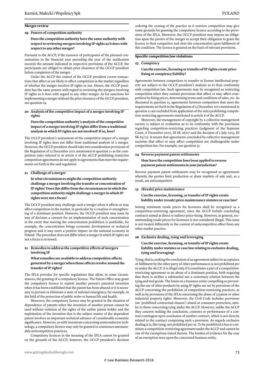### **Merger review**

### **19 Powers of competition authority**

### **Does the competition authority have the same authority with respect to reviewing mergers involving IP rights as it does with respect to any other merger?**

Pursuant to the ACCP, if the turnover of participants of the planned concentration in the financial year preceding the year of the notification exceeds the amount indicated in respective provisions of the ACCP, the participants are obliged to obtain prior clearance of the OCCP president before completion of the merger.

Under the ACCP the control of the OCCP president covers transactions that affect or are likely to affect competition in the market regardless of whether the merger involves IP rights or not. Hence, the OCCP president has the same powers with regard to reviewing the mergers involving IP rights as it does with regard to any other merger. As for sanctions for implementing a merger without the prior clearance of the OCCP president, see question 29.

### **20 Analysis of the competitive impact of a merger involving IP rights**

**Does the competition authority's analysis of the competitive impact of a merger involving IP rights differ from a traditional analysis in which IP rights are not involved? If so, how?**

The OCCP president's assessment of the competitive impact of a merger involving IP rights does not differ from traditional analysis of a merger. However, the OCCP president should take into consideration provisions of the Regulation of 13 December 2011 mentioned in question 11 as the competition rules referred to in article 6 of the ACCP prohibiting restrictive competition agreements do not apply to agreements that meet the requirements set forth in the said regulation.

### **21 Challenge of a merger**

**In what circumstances might the competition authority challenge a merger involving the transfer or concentration of IP rights? Does this differ from the circumstances in which the competition authority might challenge a merger in which IP rights were not a focus?**

The OCCP president may challenge such a merger when it affects or may affect competition in the market, in particular by a creation or strengthening of a dominant position. However, the OCCP president may issue by way of decision a consent for an implementation of such concentration in the event that waiving the concentration prohibition is justifiable, for example, the concentration brings economic development or technical progress and it may exert a positive impact on the national economy in Poland. The procedure does not differ when a merger in which IP rights are not a focus is reviewed.

### **22 Remedies to address the competitive effects of mergers involving IP**

### **What remedies are available to address competitive effects generated by a merger when those effects revolve around the transfer of IP rights?**

The IPLA provides for specific regulations that allow, in some circumstances, the granting of a compulsory licence. The Patent Office may grant the compulsory licence to exploit another person's patented invention when it has been established that the patent has been abused or it is necessary to prevent or eliminate a state of national emergency, for example, in the field of the protection of public order or human life and health.

Moreover, the compulsory licence may be granted in the situation of dependence of patents when the invention of another person cannot be used without violation of the rights of the earlier patent holder and the exploitation of the invention that is the subject matter of the dependent patent involves an important technical advance of considerable economic significance. However, as with inventions concerning semiconductor technology, a compulsory licence may only be granted to counteract unreasonable anticompetitive practices.

Compulsory licences in the meaning of the IPLA cannot be granted on the grounds of the ACCP; however, the OCCP president's decision ordering the ceasing of the practice as it restricts competition may give some grounds for granting the compulsory licence according to the provisions of the IPLA. Moreover, the OCCP president may impose an obligation upon the parties of the merger or accept their obligation to grant the licence to their competitor and clear the concentration upon fulfilment of this condition. The licence is granted on the basis of relevant provisions.

### **Specific competition law violations**

### **23 Conspiracy**

### **Can the exercise, licensing or transfer of IP rights create pricefixing or conspiracy liability?**

Agreements between competitors to transfer or license intellectual property are subject to the OCCP president's analysis as to their conformity with competition law. Such agreements may be recognised as restricting competition when they contain provisions that affect or may affect competition by fixing prices, determining terms and conditions of sales, etc. As discussed in question 15, agreements between competitors that meet the requirements set forth in the Regulation of 13 December 2011 mentioned in question 11 are excluded from application of the rules prohibiting competition-restricting agreements mentioned in article 6 of the ACCP.

Moreover, the management of copyright by a collective management society is subject to evaluation as to its conformity with the provisions regarding competition-restricting practices (judgment of the Supreme Court, 6 December 2007, III SK 16/07 and the decision of 2 July 2013, III SK 63/12). It means that agreements concluded by collective management societies that affect or may affect competition are challengeable under competition law. For example, see question 33.

### **24 Reverse payment patent settlements How have the competition laws been applied to reverse payment patent settlements in your jurisdiction?**

Reverse payment patent settlements may be recognised as agreements whereby the parties limit production or share markets of sale and, as a result, are anticompetitive.

### **25 (Resale) price maintenance**

### **Can the exercise, licensing, or transfer of IP rights create liability under (resale) price maintenance statutes or case law?**

Setting minimum resale prices for licensees shall be recognised as a competition-restricting agreement, since the ACCP forbids concluding contracts aimed at direct or indirect price-fixing. However, in general, recommending resale prices for licensees is not considered illegal. This issue is not treated differently in the context of anticompetitive effect from any other market practice.

### **26 Exclusive dealing, tying and leveraging**

### **Can the exercise, licensing, or transfer of IP rights create liability under statutes or case law relating to exclusive dealing, tying and leveraging?**

Tying, that is, making the conclusion of an agreement subject to acceptance or fulfilment by the other party of other performances is not prohibited per se under the ACCP. It is illegal only if it constitutes a part of a competitionrestricting agreement or an abuse of a dominant position, both requiring that there is neither a substantial nor a customary relation between the tying and tied goods. The limits on a business entity compelling or preventing the use of other products by using IP rights are set by provisions of the ACCP concerning the prohibition of competition-restricting practices, as well as by provisions of the IPLA concerning the abuse of a patent or other industrial property rights. Moreover, the Civil Code includes provisions (on 'prohibited contractual clauses') aimed at consumer protection, similar to those concerning tying under the ACCP. However, unlike the ACCP they concern making the conclusion, contents or performance of a contract contingent upon conclusion of another contract, which is not directly related to the contract comprising such a provision. As regards exclusive dealing it is, like tying, not prohibited per se. To be prohibited it has to constitute a competition-restricting agreement under the ACCP and cannot be one of the exemptions stated therein. The burden of evidence for the case of an exemption rests upon the concerned business entity.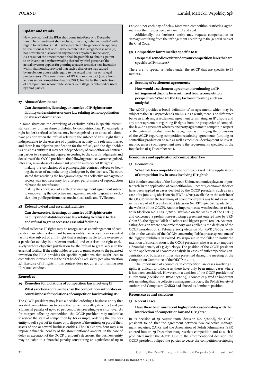### **Update and trends**

New provisions of the IPLA shall come into force on 1 December 2015. The amendment shall include, inter alia, 'relief in novelty' with regard to inventions that may be patented. The general rule applying to inventions is that one may be patented if it is regarded as new (ie, has never been disclosed in any manner anywhere in the world). As a result of the amendment it shall be possible to obtain a patent to an invention despite revealing thereof by third persons if the actual inventor applies for granting a patent to such a new invention within six months, provided that such a disclosure was caused by an obvious abuse with regard to the actual inventor or its legal predecessors. This amendment of IPLA is another tool (aside from actions under competition law or CNRA) for the further protection of entrepreneurs whose trade secrets were illegally obtained or used by third parties.

### **27 Abuse of dominance**

**Can the exercise, licensing, or transfer of IP rights create liability under statutes or case law relating to monopolisation or abuse of dominance?**

In some situations the exercising of exclusive rights in specific circumstances may form an abuse prohibited by competition law. For example, a right holder's refusal to license may be recognised as an abuse of a dominant position when the refusal relates to the subject of an IP right that is indispensable to the exercise of a particular activity in a relevant market and there is no objective justification for the refusal, and the right holder is a business entity that may act independently of competitors or contracting parties to a significant degree. According to the court's judgments and decisions of the OCCP president, the following practices were recognised, inter alia, as an abuse of a dominant position in respect of IP rights:

- making the conclusion of a phonographic contract subject to bearing the costs of manufacturing a hologram by the licensee. The court stated that receiving the hologram charge by a collective management society was not necessary for a proper performance of reproduction rights to the records; and
- making the conclusion of a collective management agreement subject to empowering the collective management society to grant an exclusive joint public performance, mechanical, radio and TV licence.

### **28 Refusal to deal and essential facilities**

### **Can the exercise, licensing, or transfer of IP rights create liability under statutes or case law relating to refusal to deal and refusal to grant access to essential facilities?**

Refusal to license IP rights may be recognised as an infringement of competition law when a dominant business entity has access to an essential facility (the subject of an IP right that is indispensable to the exercise of a particular activity in a relevant market) and exercises the right exclusively without objective justification for the refusal to grant access to the essential facility. If the right holder refuses to grant access to the patented invention the IPLA provides for specific regulations that might lead to compulsory intervention in the right holder's exclusivity (see also question 22). Exercise of IP rights in this context does not differ from similar non IP-related conduct.

### **Remedies**

### **29 Remedies for violations of competition law involving IP**

### **What sanctions or remedies can the competition authorities or courts impose for violations of competition law involving IP?**

The OCCP president may issue a decision ordering a business entity that violated competition law to cease the restrictive or illegal conduct and pay a financial penalty of up to 10 per cent of its preceding year's turnover. As for mergers affecting competition, the OCCP president may undertake to restore the state of competition by, for example, ordering the business entity to sell a part of its shares or to dispose of the entirety or part of their assets of one or several business entities. The OCCP president may also impose a financial penalty of the aforementioned amount. In the case of delay in execution of the OCCP president's decisions, the business entity may be liable to a financial penalty constituting an equivalent of up to

€10,000 per each day of delay. Moreover, competition-restricting agreements or their respective parts are null and void.

Additionally, the business entity may request compensation or damages resulting from the infringement according to the general rules of the Civil Code.

### **30 Competition law remedies specific to IP**

### **Do special remedies exist under your competition laws that are specific to IP matters?**

There are no special remedies under the ACCP that are specific to IP matters.

### **31 Scrutiny of settlement agreements**

### **How would a settlement agreement terminating an IP infringement dispute be scrutinised from a competition perspective? What are the key factors informing such an analysis?**

The ACCP provides a broad definition of an agreement, which may be subject to the OCCP president's analysis. As a result, there is no difference between analysing a settlement agreement terminating an IP dispute and any other agreement regarding IP rights from the perspective of competition law. An agreement whereby one party agrees not to compete in respect of the patented product may be recognised as infringing the provisions of the ACCP regarding competition-restricting agreements (limiting or controlling production or sale as well as technical development or investments), unless such agreement meets the requirements specified in the Regulation of 13 December 2011.

### **Economics and application of competition law**

### **32 Economics**

### **What role has competition economics played in the application of competition law in cases involving IP rights?**

Like in other countries of the European Union, economics plays an important role in the application of competition law. Recently, economic theories have been applied in cases decided by the OCCP president, such as in a case of 27 June 2013 (decision No. RWR 17/2013, available on the website of the OCCP) where the testimony of economic experts was heard as well as in the case of 16 December 2013 (decision No. RKT 46/2013, available on the website of the OCCP). Another important case was decided on 16 July 2010 (decision No. DOK 6/2010, available on the website of the OCCP) and concerned a prohibition-restricting agreement entered into by PKN Orlen SA, the biggest Polish oil refiner and biggest petrol retailer. An interesting decision where economic theory was applied is the decision of the OCCP president of 11 February 2004 (decision No. RWR 7/2004, available on the website of the OCCP) concerning Polskapresse sp zoo, one of the biggest publishers in Poland. Polskapresse sp zoo failed to notify the intention of concentration to the OCCP president, who as a result imposed a financial penalty of 235,850 zlotys. The position of the OCCP president on the application of economic analysis in cases of anticompetitive concentrations of business entities was presented during the meeting of the Competition Committee of the OECD in 2004.

The importance of economics in competition law cases involving IP rights is difficult to indicate as there have only been minor cases where it has been considered. However, in a decision of the OCCP president of 21 July 2009 (decision No. RWA-10/2009), economics played an important role in finding that the collective management society the Polish Society of Authors and Composers (ZAiKS) had abused its dominant position.

### **Recent cases and sanctions**

### **33 Recent cases**

### **Have there been any recent high-profile cases dealing with the intersection of competition law and IP rights?**

In its decision of 29 August 2008 (decision No. 6/2008), the OCCP president found that the agreement between two collective management societies, ZAiKS and the Association of Polish Filmmakers (SFP) entered into on 29 December 2003 restricts competition and as such is prohibited under the ACCP. Due to the aforementioned decision, the OCCP president obliged the parties to cease the competition-restricting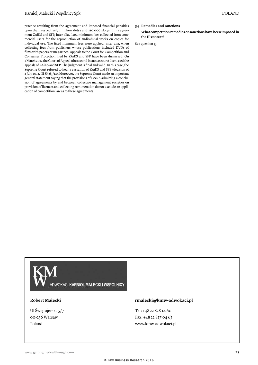practice resulting from the agreement and imposed financial penalties upon them respectively 1 million zlotys and 250,000 zlotys. In its agreement ZAiKS and SFP, inter alia, fixed minimum fees collected from commercial users for the reproduction of audiovisual works on copies for individual use. The fixed minimum fees were applied, inter alia, when collecting fees from publishers whose publications included DVDs of films with papers or magazines. Appeals to the Court for Competition and Consumer Protection filed by ZAiKS and SFP have been dismissed. On 1 March 2012 the Court of Appeal (the second instance court) dismissed the appeals of ZAiKS and SFP. The judgment is final and valid. In this case, the Supreme Court refused to hear a cassation of ZAiKS and SFP (decision of 2 July 2013, III SK 63/12). Moreover, the Supreme Court made an important general statement saying that the provisions of CNRA admitting a conclusion of agreements by and between collective management societies on provision of licences and collecting remuneration do not exclude an application of competition law as to these agreements.

**34 Remedies and sanctions**

**What competition remedies or sanctions have been imposed in the IP context?**

See question 33.

## ADWOKACI KARNIOL MAŁECKI I WSPÓLNICY

Ul Świętojerska 5/7 00-236 Warsaw Poland

### **Robert Małecki rmalecki@kmw-adwokaci.pl**

Tel: +48 22 828 14 60 Fax: +48 22 827 04 63 www.kmw-adwokaci.pl